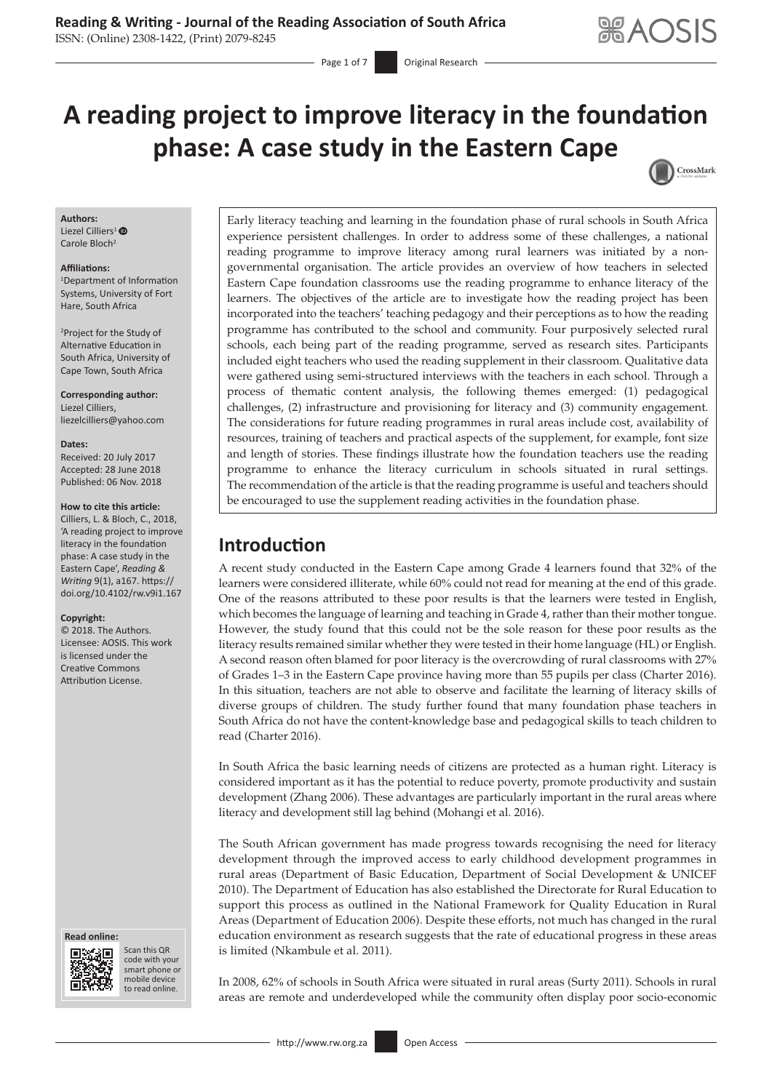# **Reading & Writing - Journal of the Reading Association of South Africa**

ISSN: (Online) 2308-1422, (Print) 2079-8245

Page 1 of 7 **Original Research** 

# **A reading project to improve literacy in the foundation phase: A case study in the Eastern Cape** CrossMark

#### **Authors:** Liezel Cilliers<sup>[1](https://orcid.org/0000-0001-9493-4311)</sup>

Carole Bloch<sup>2</sup>

### **Affiliations:**

1 Department of Information Systems, University of Fort Hare, South Africa

2 Project for the Study of Alternative Education in South Africa, University of Cape Town, South Africa

**Corresponding author:** Liezel Cilliers, [liezelcilliers@yahoo.com](mailto:liezelcilliers@yahoo.com)

#### **Dates:**

Received: 20 July 2017 Accepted: 28 June 2018 Published: 06 Nov. 2018

### **How to cite this article:**

Cilliers, L. & Bloch, C., 2018, 'A reading project to improve literacy in the foundation phase: A case study in the Eastern Cape', *Reading & Writing* 9(1), a167. [https://](https://doi.org/10.4102/rw.v9i1.167) [doi.org/10.4102/rw.v9i1.167](https://doi.org/10.4102/rw.v9i1.167)

### **Copyright:**

© 2018. The Authors. Licensee: AOSIS. This work is licensed under the Creative Commons Attribution License.

#### **Read online: Read**



Scan this QR code with your Scan this QR<br>code with your<br>smart phone or<br>mobile device mobile device to read online. to read online.

Early literacy teaching and learning in the foundation phase of rural schools in South Africa experience persistent challenges. In order to address some of these challenges, a national reading programme to improve literacy among rural learners was initiated by a nongovernmental organisation. The article provides an overview of how teachers in selected Eastern Cape foundation classrooms use the reading programme to enhance literacy of the learners. The objectives of the article are to investigate how the reading project has been incorporated into the teachers' teaching pedagogy and their perceptions as to how the reading programme has contributed to the school and community. Four purposively selected rural schools, each being part of the reading programme, served as research sites. Participants included eight teachers who used the reading supplement in their classroom. Qualitative data were gathered using semi-structured interviews with the teachers in each school. Through a process of thematic content analysis, the following themes emerged: (1) pedagogical challenges, (2) infrastructure and provisioning for literacy and (3) community engagement. The considerations for future reading programmes in rural areas include cost, availability of resources, training of teachers and practical aspects of the supplement, for example, font size and length of stories. These findings illustrate how the foundation teachers use the reading programme to enhance the literacy curriculum in schools situated in rural settings. The recommendation of the article is that the reading programme is useful and teachers should be encouraged to use the supplement reading activities in the foundation phase.

# **Introduction**

A recent study conducted in the Eastern Cape among Grade 4 learners found that 32% of the learners were considered illiterate, while 60% could not read for meaning at the end of this grade. One of the reasons attributed to these poor results is that the learners were tested in English, which becomes the language of learning and teaching in Grade 4, rather than their mother tongue. However, the study found that this could not be the sole reason for these poor results as the literacy results remained similar whether they were tested in their home language (HL) or English. A second reason often blamed for poor literacy is the overcrowding of rural classrooms with 27% of Grades 1–3 in the Eastern Cape province having more than 55 pupils per class (Charter 2016). In this situation, teachers are not able to observe and facilitate the learning of literacy skills of diverse groups of children. The study further found that many foundation phase teachers in South Africa do not have the content-knowledge base and pedagogical skills to teach children to read (Charter 2016).

In South Africa the basic learning needs of citizens are protected as a human right. Literacy is considered important as it has the potential to reduce poverty, promote productivity and sustain development (Zhang 2006). These advantages are particularly important in the rural areas where literacy and development still lag behind (Mohangi et al. 2016).

The South African government has made progress towards recognising the need for literacy development through the improved access to early childhood development programmes in rural areas (Department of Basic Education, Department of Social Development & UNICEF 2010). The Department of Education has also established the Directorate for Rural Education to support this process as outlined in the National Framework for Quality Education in Rural Areas (Department of Education 2006). Despite these efforts, not much has changed in the rural education environment as research suggests that the rate of educational progress in these areas is limited (Nkambule et al. 2011).

In 2008, 62% of schools in South Africa were situated in rural areas (Surty 2011). Schools in rural areas are remote and underdeveloped while the community often display poor socio-economic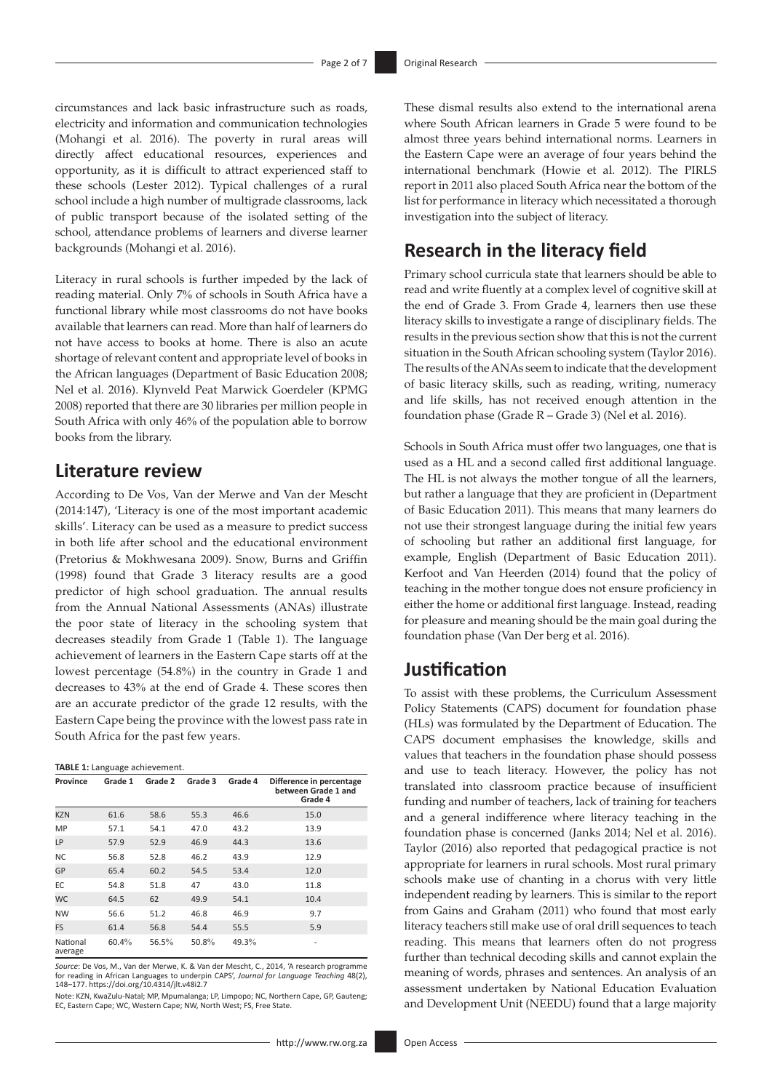circumstances and lack basic infrastructure such as roads, electricity and information and communication technologies (Mohangi et al. 2016). The poverty in rural areas will directly affect educational resources, experiences and opportunity, as it is difficult to attract experienced staff to these schools (Lester 2012). Typical challenges of a rural school include a high number of multigrade classrooms, lack of public transport because of the isolated setting of the school, attendance problems of learners and diverse learner backgrounds (Mohangi et al. 2016).

Literacy in rural schools is further impeded by the lack of reading material. Only 7% of schools in South Africa have a functional library while most classrooms do not have books available that learners can read. More than half of learners do not have access to books at home. There is also an acute shortage of relevant content and appropriate level of books in the African languages (Department of Basic Education 2008; Nel et al. 2016). Klynveld Peat Marwick Goerdeler (KPMG 2008) reported that there are 30 libraries per million people in South Africa with only 46% of the population able to borrow books from the library.

### **Literature review**

According to De Vos, Van der Merwe and Van der Mescht (2014:147), 'Literacy is one of the most important academic skills'. Literacy can be used as a measure to predict success in both life after school and the educational environment (Pretorius & Mokhwesana 2009). Snow, Burns and Griffin (1998) found that Grade 3 literacy results are a good predictor of high school graduation. The annual results from the Annual National Assessments (ANAs) illustrate the poor state of literacy in the schooling system that decreases steadily from Grade 1 (Table 1). The language achievement of learners in the Eastern Cape starts off at the lowest percentage (54.8%) in the country in Grade 1 and decreases to 43% at the end of Grade 4. These scores then are an accurate predictor of the grade 12 results, with the Eastern Cape being the province with the lowest pass rate in South Africa for the past few years.

| <b>TABLE 1:</b> Language achievement. |         |         |         |         |                                                            |  |
|---------------------------------------|---------|---------|---------|---------|------------------------------------------------------------|--|
| Province                              | Grade 1 | Grade 2 | Grade 3 | Grade 4 | Difference in percentage<br>between Grade 1 and<br>Grade 4 |  |
| <b>KZN</b>                            | 61.6    | 58.6    | 55.3    | 46.6    | 15.0                                                       |  |
| MP                                    | 57.1    | 54.1    | 47.0    | 43.2    | 13.9                                                       |  |
| LP                                    | 57.9    | 52.9    | 46.9    | 44.3    | 13.6                                                       |  |
| <b>NC</b>                             | 56.8    | 52.8    | 46.2    | 43.9    | 12.9                                                       |  |
| GP                                    | 65.4    | 60.2    | 54.5    | 53.4    | 12.0                                                       |  |
| EC                                    | 54.8    | 51.8    | 47      | 43.0    | 11.8                                                       |  |
| <b>WC</b>                             | 64.5    | 62      | 49.9    | 54.1    | 10.4                                                       |  |
| <b>NW</b>                             | 56.6    | 51.2    | 46.8    | 46.9    | 9.7                                                        |  |
| <b>FS</b>                             | 61.4    | 56.8    | 54.4    | 55.5    | 5.9                                                        |  |
| National<br>average                   | 60.4%   | 56.5%   | 50.8%   | 49.3%   |                                                            |  |

*Source*: De Vos, M., Van der Merwe, K. & Van der Mescht, C., 2014, 'A research programme for reading in African Languages to underpin CAPS', *Journal for Language Teaching* 48(2), 148–177. <https://doi.org/10.4314/jlt.v48i2.7>

Note: KZN, KwaZulu-Natal; MP, Mpumalanga; LP, Limpopo; NC, Northern Cape, GP, Gauteng; EC, Eastern Cape; WC, Western Cape; NW, North West; FS, Free State.

foundation phase (Grade R – Grade 3) (Nel et al. 2016). Schools in South Africa must offer two languages, one that is used as a HL and a second called first additional language.

investigation into the subject of literacy.

**Research in the literacy field**

The HL is not always the mother tongue of all the learners, but rather a language that they are proficient in (Department of Basic Education 2011). This means that many learners do not use their strongest language during the initial few years of schooling but rather an additional first language, for example, English (Department of Basic Education 2011). Kerfoot and Van Heerden (2014) found that the policy of teaching in the mother tongue does not ensure proficiency in either the home or additional first language. Instead, reading for pleasure and meaning should be the main goal during the foundation phase (Van Der berg et al. 2016).

These dismal results also extend to the international arena where South African learners in Grade 5 were found to be almost three years behind international norms. Learners in the Eastern Cape were an average of four years behind the international benchmark (Howie et al. 2012). The PIRLS report in 2011 also placed South Africa near the bottom of the list for performance in literacy which necessitated a thorough

Primary school curricula state that learners should be able to read and write fluently at a complex level of cognitive skill at the end of Grade 3. From Grade 4, learners then use these literacy skills to investigate a range of disciplinary fields. The results in the previous section show that this is not the current situation in the South African schooling system (Taylor 2016). The results of the ANAs seem to indicate that the development of basic literacy skills, such as reading, writing, numeracy and life skills, has not received enough attention in the

# **Justification**

To assist with these problems, the Curriculum Assessment Policy Statements (CAPS) document for foundation phase (HLs) was formulated by the Department of Education. The CAPS document emphasises the knowledge, skills and values that teachers in the foundation phase should possess and use to teach literacy. However, the policy has not translated into classroom practice because of insufficient funding and number of teachers, lack of training for teachers and a general indifference where literacy teaching in the foundation phase is concerned (Janks 2014; Nel et al. 2016). Taylor (2016) also reported that pedagogical practice is not appropriate for learners in rural schools. Most rural primary schools make use of chanting in a chorus with very little independent reading by learners. This is similar to the report from Gains and Graham (2011) who found that most early literacy teachers still make use of oral drill sequences to teach reading. This means that learners often do not progress further than technical decoding skills and cannot explain the meaning of words, phrases and sentences. An analysis of an assessment undertaken by National Education Evaluation and Development Unit (NEEDU) found that a large majority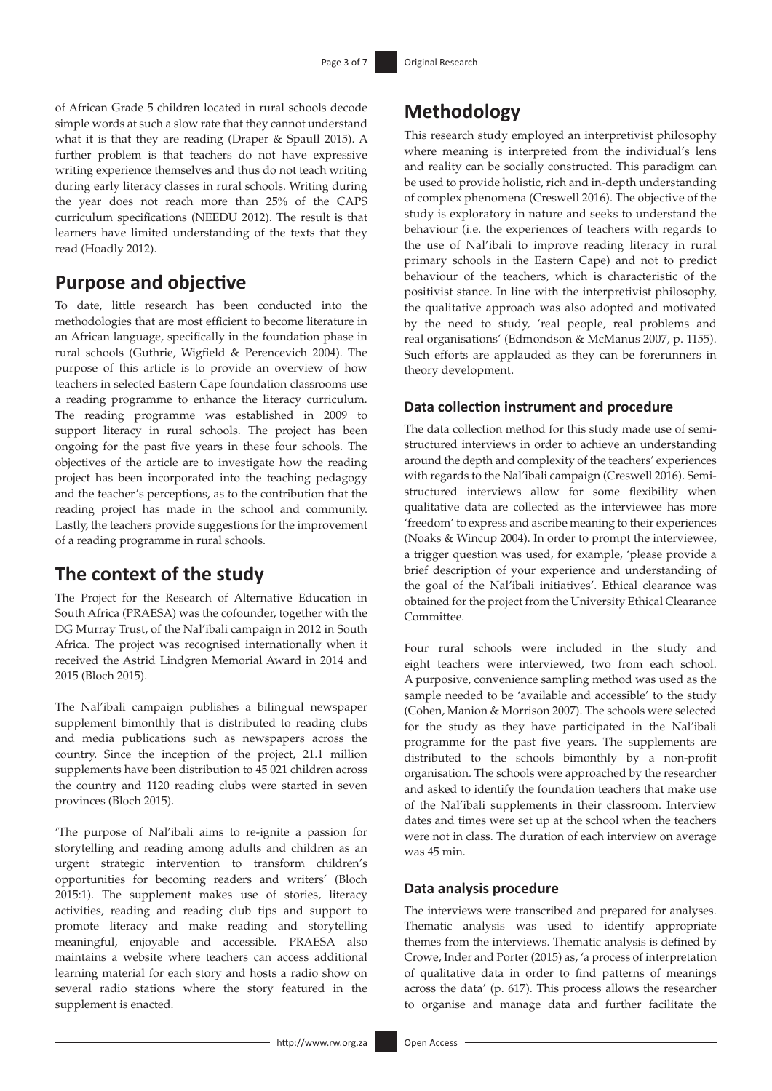of African Grade 5 children located in rural schools decode simple words at such a slow rate that they cannot understand what it is that they are reading (Draper & Spaull 2015). A further problem is that teachers do not have expressive writing experience themselves and thus do not teach writing during early literacy classes in rural schools. Writing during the year does not reach more than 25% of the CAPS curriculum specifications (NEEDU 2012). The result is that learners have limited understanding of the texts that they read (Hoadly 2012).

# **Purpose and objective**

To date, little research has been conducted into the methodologies that are most efficient to become literature in an African language, specifically in the foundation phase in rural schools (Guthrie, Wigfield & Perencevich 2004). The purpose of this article is to provide an overview of how teachers in selected Eastern Cape foundation classrooms use a reading programme to enhance the literacy curriculum. The reading programme was established in 2009 to support literacy in rural schools. The project has been ongoing for the past five years in these four schools. The objectives of the article are to investigate how the reading project has been incorporated into the teaching pedagogy and the teacher's perceptions, as to the contribution that the reading project has made in the school and community. Lastly, the teachers provide suggestions for the improvement of a reading programme in rural schools.

# **The context of the study**

The Project for the Research of Alternative Education in South Africa (PRAESA) was the cofounder, together with the DG Murray Trust, of the Nal'ibali campaign in 2012 in South Africa. The project was recognised internationally when it received the Astrid Lindgren Memorial Award in 2014 and 2015 (Bloch 2015).

The Nal'ibali campaign publishes a bilingual newspaper supplement bimonthly that is distributed to reading clubs and media publications such as newspapers across the country. Since the inception of the project, 21.1 million supplements have been distribution to 45 021 children across the country and 1120 reading clubs were started in seven provinces (Bloch 2015).

'The purpose of Nal'ibali aims to re-ignite a passion for storytelling and reading among adults and children as an urgent strategic intervention to transform children's opportunities for becoming readers and writers' (Bloch 2015:1). The supplement makes use of stories, literacy activities, reading and reading club tips and support to promote literacy and make reading and storytelling meaningful, enjoyable and accessible. PRAESA also maintains a website where teachers can access additional learning material for each story and hosts a radio show on several radio stations where the story featured in the supplement is enacted.

# **Methodology**

This research study employed an interpretivist philosophy where meaning is interpreted from the individual's lens and reality can be socially constructed. This paradigm can be used to provide holistic, rich and in-depth understanding of complex phenomena (Creswell 2016). The objective of the study is exploratory in nature and seeks to understand the behaviour (i.e. the experiences of teachers with regards to the use of Nal'ibali to improve reading literacy in rural primary schools in the Eastern Cape) and not to predict behaviour of the teachers, which is characteristic of the positivist stance. In line with the interpretivist philosophy, the qualitative approach was also adopted and motivated by the need to study, 'real people, real problems and real organisations' (Edmondson & McManus 2007, p. 1155). Such efforts are applauded as they can be forerunners in theory development.

### **Data collection instrument and procedure**

The data collection method for this study made use of semistructured interviews in order to achieve an understanding around the depth and complexity of the teachers' experiences with regards to the Nal'ibali campaign (Creswell 2016). Semistructured interviews allow for some flexibility when qualitative data are collected as the interviewee has more 'freedom' to express and ascribe meaning to their experiences (Noaks & Wincup 2004). In order to prompt the interviewee, a trigger question was used, for example, 'please provide a brief description of your experience and understanding of the goal of the Nal'ibali initiatives'. Ethical clearance was obtained for the project from the University Ethical Clearance Committee.

Four rural schools were included in the study and eight teachers were interviewed, two from each school. A purposive, convenience sampling method was used as the sample needed to be 'available and accessible' to the study (Cohen, Manion & Morrison 2007). The schools were selected for the study as they have participated in the Nal'ibali programme for the past five years. The supplements are distributed to the schools bimonthly by a non-profit organisation. The schools were approached by the researcher and asked to identify the foundation teachers that make use of the Nal'ibali supplements in their classroom. Interview dates and times were set up at the school when the teachers were not in class. The duration of each interview on average was 45 min.

### **Data analysis procedure**

The interviews were transcribed and prepared for analyses. Thematic analysis was used to identify appropriate themes from the interviews. Thematic analysis is defined by Crowe, Inder and Porter (2015) as, 'a process of interpretation of qualitative data in order to find patterns of meanings across the data' (p. 617). This process allows the researcher to organise and manage data and further facilitate the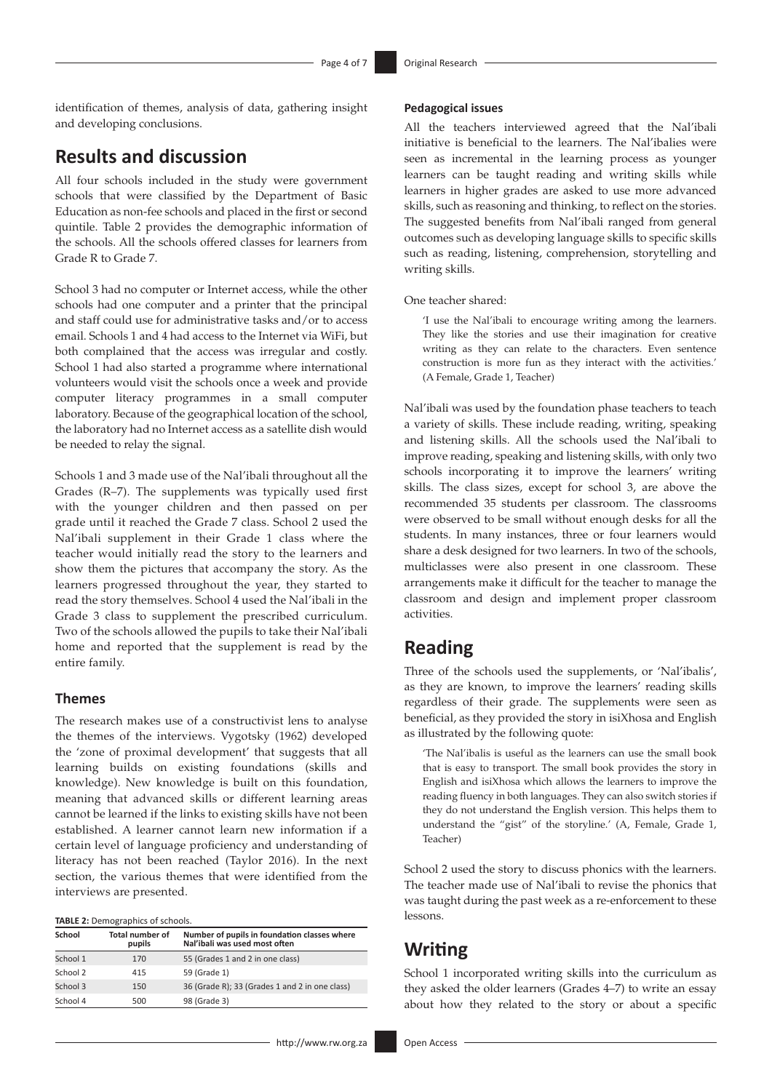identification of themes, analysis of data, gathering insight and developing conclusions.

# **Results and discussion**

All four schools included in the study were government schools that were classified by the Department of Basic Education as non-fee schools and placed in the first or second quintile. Table 2 provides the demographic information of the schools. All the schools offered classes for learners from Grade R to Grade 7.

School 3 had no computer or Internet access, while the other schools had one computer and a printer that the principal and staff could use for administrative tasks and/or to access email. Schools 1 and 4 had access to the Internet via WiFi, but both complained that the access was irregular and costly. School 1 had also started a programme where international volunteers would visit the schools once a week and provide computer literacy programmes in a small computer laboratory. Because of the geographical location of the school, the laboratory had no Internet access as a satellite dish would be needed to relay the signal.

Schools 1 and 3 made use of the Nal'ibali throughout all the Grades (R–7). The supplements was typically used first with the younger children and then passed on per grade until it reached the Grade 7 class. School 2 used the Nal'ibali supplement in their Grade 1 class where the teacher would initially read the story to the learners and show them the pictures that accompany the story. As the learners progressed throughout the year, they started to read the story themselves. School 4 used the Nal'ibali in the Grade 3 class to supplement the prescribed curriculum. Two of the schools allowed the pupils to take their Nal'ibali home and reported that the supplement is read by the entire family.

### **Themes**

The research makes use of a constructivist lens to analyse the themes of the interviews. Vygotsky (1962) developed the 'zone of proximal development' that suggests that all learning builds on existing foundations (skills and knowledge). New knowledge is built on this foundation, meaning that advanced skills or different learning areas cannot be learned if the links to existing skills have not been established. A learner cannot learn new information if a certain level of language proficiency and understanding of literacy has not been reached (Taylor 2016). In the next section, the various themes that were identified from the interviews are presented.

#### **TABLE 2:** Demographics of schools.

| School   | <b>Total number of</b><br>pupils | Number of pupils in foundation classes where<br>Nal'ibali was used most often |
|----------|----------------------------------|-------------------------------------------------------------------------------|
| School 1 | 170                              | 55 (Grades 1 and 2 in one class)                                              |
| School 2 | 415                              | 59 (Grade 1)                                                                  |
| School 3 | 150                              | 36 (Grade R); 33 (Grades 1 and 2 in one class)                                |
| School 4 | 500                              | 98 (Grade 3)                                                                  |

### **Pedagogical issues**

All the teachers interviewed agreed that the Nal'ibali initiative is beneficial to the learners. The Nal'ibalies were seen as incremental in the learning process as younger learners can be taught reading and writing skills while learners in higher grades are asked to use more advanced skills, such as reasoning and thinking, to reflect on the stories. The suggested benefits from Nal'ibali ranged from general outcomes such as developing language skills to specific skills such as reading, listening, comprehension, storytelling and writing skills.

### One teacher shared:

'I use the Nal'ibali to encourage writing among the learners. They like the stories and use their imagination for creative writing as they can relate to the characters. Even sentence construction is more fun as they interact with the activities.' (A Female, Grade 1, Teacher)

Nal'ibali was used by the foundation phase teachers to teach a variety of skills. These include reading, writing, speaking and listening skills. All the schools used the Nal'ibali to improve reading, speaking and listening skills, with only two schools incorporating it to improve the learners' writing skills. The class sizes, except for school 3, are above the recommended 35 students per classroom. The classrooms were observed to be small without enough desks for all the students. In many instances, three or four learners would share a desk designed for two learners. In two of the schools, multiclasses were also present in one classroom. These arrangements make it difficult for the teacher to manage the classroom and design and implement proper classroom activities.

# **Reading**

Three of the schools used the supplements, or 'Nal'ibalis', as they are known, to improve the learners' reading skills regardless of their grade. The supplements were seen as beneficial, as they provided the story in isiXhosa and English as illustrated by the following quote:

'The Nal'ibalis is useful as the learners can use the small book that is easy to transport. The small book provides the story in English and isiXhosa which allows the learners to improve the reading fluency in both languages. They can also switch stories if they do not understand the English version. This helps them to understand the "gist" of the storyline.' (A, Female, Grade 1, Teacher)

School 2 used the story to discuss phonics with the learners. The teacher made use of Nal'ibali to revise the phonics that was taught during the past week as a re-enforcement to these lessons.

# **Writing**

School 1 incorporated writing skills into the curriculum as they asked the older learners (Grades 4–7) to write an essay about how they related to the story or about a specific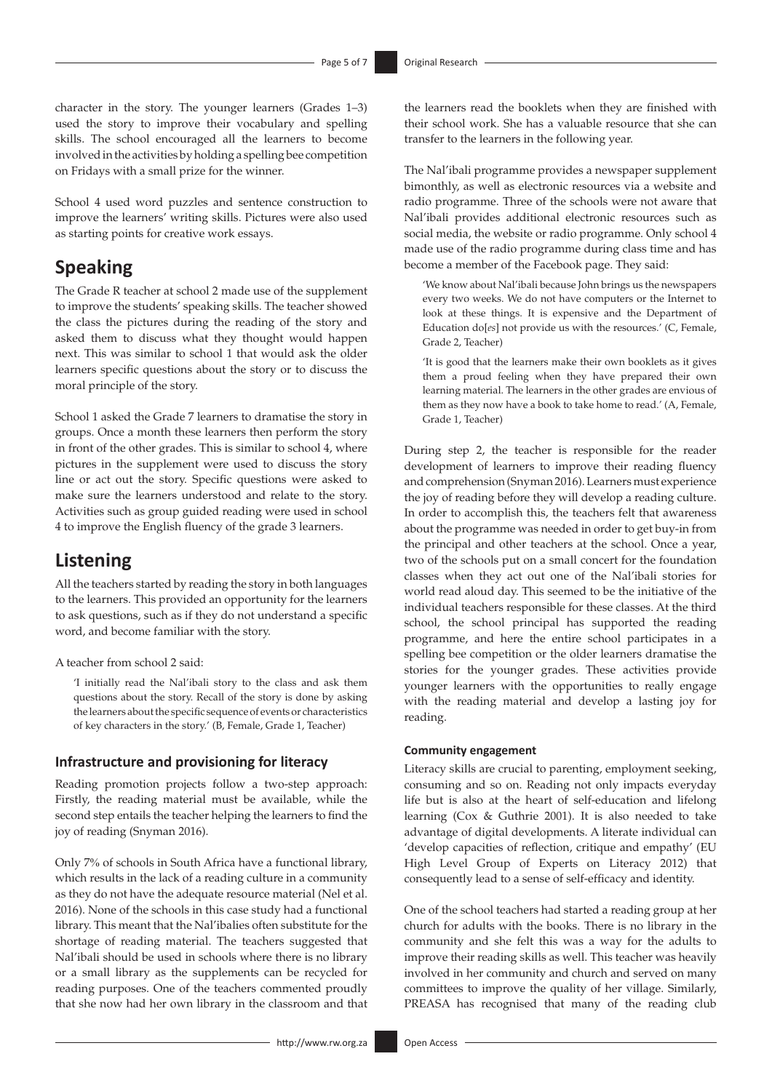character in the story. The younger learners (Grades 1–3) used the story to improve their vocabulary and spelling skills. The school encouraged all the learners to become involved in the activities by holding a spelling bee competition on Fridays with a small prize for the winner.

School 4 used word puzzles and sentence construction to improve the learners' writing skills. Pictures were also used as starting points for creative work essays.

# **Speaking**

The Grade R teacher at school 2 made use of the supplement to improve the students' speaking skills. The teacher showed the class the pictures during the reading of the story and asked them to discuss what they thought would happen next. This was similar to school 1 that would ask the older learners specific questions about the story or to discuss the moral principle of the story.

School 1 asked the Grade 7 learners to dramatise the story in groups. Once a month these learners then perform the story in front of the other grades. This is similar to school 4, where pictures in the supplement were used to discuss the story line or act out the story. Specific questions were asked to make sure the learners understood and relate to the story. Activities such as group guided reading were used in school 4 to improve the English fluency of the grade 3 learners.

# **Listening**

All the teachers started by reading the story in both languages to the learners. This provided an opportunity for the learners to ask questions, such as if they do not understand a specific word, and become familiar with the story.

A teacher from school 2 said:

'I initially read the Nal'ibali story to the class and ask them questions about the story. Recall of the story is done by asking the learners about the specific sequence of events or characteristics of key characters in the story.' (B, Female, Grade 1, Teacher)

### **Infrastructure and provisioning for literacy**

Reading promotion projects follow a two-step approach: Firstly, the reading material must be available, while the second step entails the teacher helping the learners to find the joy of reading (Snyman 2016).

Only 7% of schools in South Africa have a functional library, which results in the lack of a reading culture in a community as they do not have the adequate resource material (Nel et al. 2016). None of the schools in this case study had a functional library. This meant that the Nal'ibalies often substitute for the shortage of reading material. The teachers suggested that Nal'ibali should be used in schools where there is no library or a small library as the supplements can be recycled for reading purposes. One of the teachers commented proudly that she now had her own library in the classroom and that

the learners read the booklets when they are finished with their school work. She has a valuable resource that she can transfer to the learners in the following year.

The Nal'ibali programme provides a newspaper supplement bimonthly, as well as electronic resources via a website and radio programme. Three of the schools were not aware that Nal'ibali provides additional electronic resources such as social media, the website or radio programme. Only school 4 made use of the radio programme during class time and has become a member of the Facebook page. They said:

'We know about Nal'ibali because John brings us the newspapers every two weeks. We do not have computers or the Internet to look at these things. It is expensive and the Department of Education do[*es*] not provide us with the resources.' (C, Female, Grade 2, Teacher)

'It is good that the learners make their own booklets as it gives them a proud feeling when they have prepared their own learning material. The learners in the other grades are envious of them as they now have a book to take home to read.' (A, Female, Grade 1, Teacher)

During step 2, the teacher is responsible for the reader development of learners to improve their reading fluency and comprehension (Snyman 2016). Learners must experience the joy of reading before they will develop a reading culture. In order to accomplish this, the teachers felt that awareness about the programme was needed in order to get buy-in from the principal and other teachers at the school. Once a year, two of the schools put on a small concert for the foundation classes when they act out one of the Nal'ibali stories for world read aloud day. This seemed to be the initiative of the individual teachers responsible for these classes. At the third school, the school principal has supported the reading programme, and here the entire school participates in a spelling bee competition or the older learners dramatise the stories for the younger grades. These activities provide younger learners with the opportunities to really engage with the reading material and develop a lasting joy for reading.

### **Community engagement**

Literacy skills are crucial to parenting, employment seeking, consuming and so on. Reading not only impacts everyday life but is also at the heart of self-education and lifelong learning (Cox & Guthrie 2001). It is also needed to take advantage of digital developments. A literate individual can 'develop capacities of reflection, critique and empathy' (EU High Level Group of Experts on Literacy 2012) that consequently lead to a sense of self-efficacy and identity.

One of the school teachers had started a reading group at her church for adults with the books. There is no library in the community and she felt this was a way for the adults to improve their reading skills as well. This teacher was heavily involved in her community and church and served on many committees to improve the quality of her village. Similarly, PREASA has recognised that many of the reading club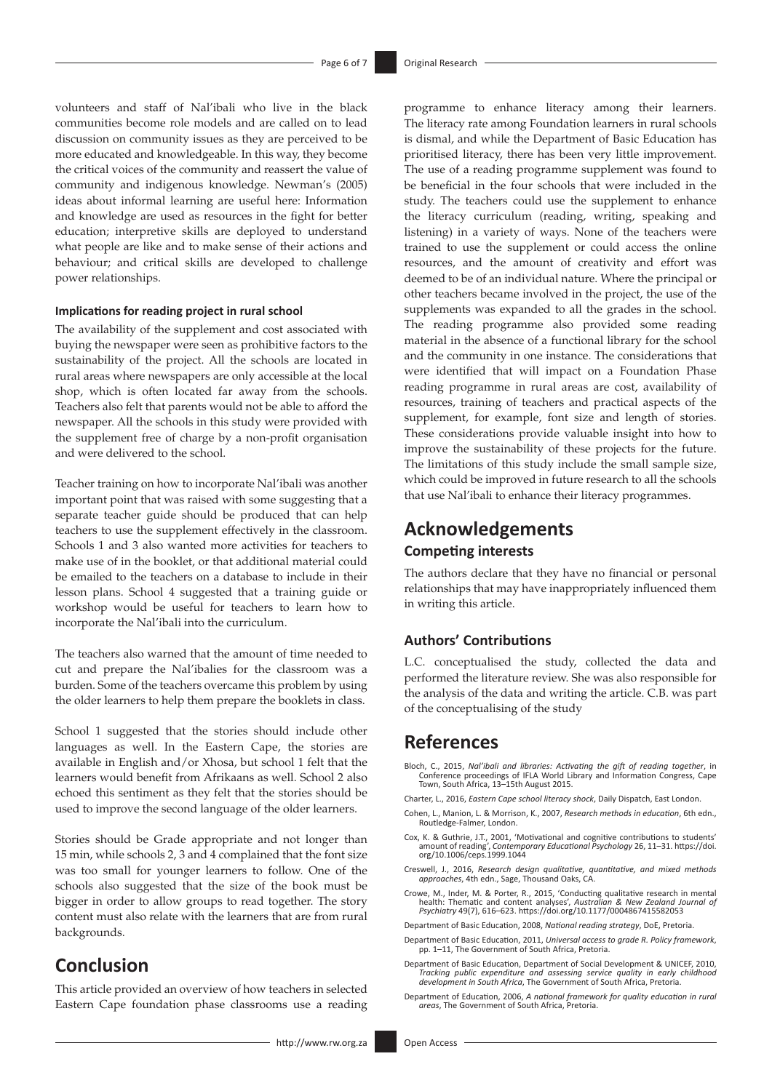volunteers and staff of Nal'ibali who live in the black communities become role models and are called on to lead discussion on community issues as they are perceived to be more educated and knowledgeable. In this way, they become the critical voices of the community and reassert the value of community and indigenous knowledge. Newman's (2005) ideas about informal learning are useful here: Information and knowledge are used as resources in the fight for better education; interpretive skills are deployed to understand what people are like and to make sense of their actions and behaviour; and critical skills are developed to challenge power relationships.

#### **Implications for reading project in rural school**

The availability of the supplement and cost associated with buying the newspaper were seen as prohibitive factors to the sustainability of the project. All the schools are located in rural areas where newspapers are only accessible at the local shop, which is often located far away from the schools. Teachers also felt that parents would not be able to afford the newspaper. All the schools in this study were provided with the supplement free of charge by a non-profit organisation and were delivered to the school.

Teacher training on how to incorporate Nal'ibali was another important point that was raised with some suggesting that a separate teacher guide should be produced that can help teachers to use the supplement effectively in the classroom. Schools 1 and 3 also wanted more activities for teachers to make use of in the booklet, or that additional material could be emailed to the teachers on a database to include in their lesson plans. School 4 suggested that a training guide or workshop would be useful for teachers to learn how to incorporate the Nal'ibali into the curriculum.

The teachers also warned that the amount of time needed to cut and prepare the Nal'ibalies for the classroom was a burden. Some of the teachers overcame this problem by using the older learners to help them prepare the booklets in class.

School 1 suggested that the stories should include other languages as well. In the Eastern Cape, the stories are available in English and/or Xhosa, but school 1 felt that the learners would benefit from Afrikaans as well. School 2 also echoed this sentiment as they felt that the stories should be used to improve the second language of the older learners.

Stories should be Grade appropriate and not longer than 15 min, while schools 2, 3 and 4 complained that the font size was too small for younger learners to follow. One of the schools also suggested that the size of the book must be bigger in order to allow groups to read together. The story content must also relate with the learners that are from rural backgrounds.

# **Conclusion**

This article provided an overview of how teachers in selected Eastern Cape foundation phase classrooms use a reading

The use of a reading programme supplement was found to be beneficial in the four schools that were included in the study. The teachers could use the supplement to enhance the literacy curriculum (reading, writing, speaking and listening) in a variety of ways. None of the teachers were trained to use the supplement or could access the online resources, and the amount of creativity and effort was deemed to be of an individual nature. Where the principal or other teachers became involved in the project, the use of the supplements was expanded to all the grades in the school. The reading programme also provided some reading material in the absence of a functional library for the school and the community in one instance. The considerations that were identified that will impact on a Foundation Phase reading programme in rural areas are cost, availability of resources, training of teachers and practical aspects of the supplement, for example, font size and length of stories. These considerations provide valuable insight into how to improve the sustainability of these projects for the future. The limitations of this study include the small sample size, which could be improved in future research to all the schools that use Nal'ibali to enhance their literacy programmes. **Acknowledgements Competing interests**

programme to enhance literacy among their learners. The literacy rate among Foundation learners in rural schools is dismal, and while the Department of Basic Education has prioritised literacy, there has been very little improvement.

The authors declare that they have no financial or personal relationships that may have inappropriately influenced them in writing this article.

### **Authors' Contributions**

L.C. conceptualised the study, collected the data and performed the literature review. She was also responsible for the analysis of the data and writing the article. C.B. was part of the conceptualising of the study

### **References**

- Bloch, C., 2015, *Nal'ibali and libraries: Activating the gift of reading together*, in Conference proceedings of IFLA World Library and Information Congress, Cape Town, South Africa, 13–15th August 2015.
- Charter, L., 2016, *Eastern Cape school literacy shock*, Daily Dispatch, East London.
- Cohen, L., Manion, L. & Morrison, K., 2007, *Research methods in education*, 6th edn., Routledge-Falmer, London.
- Cox, K. & Guthrie, J.T., 2001, 'Motivational and cognitive contributions to students' amount of reading', *Contemporary Educational Psychology* 26, 11–31. [https://doi.](https://doi.org/10.1006/ceps.1999.1044) [org/10.1006/ceps.1999.1044](https://doi.org/10.1006/ceps.1999.1044)
- Creswell, J., 2016, *Research design qualitative, quantitative, and mixed methods approaches*, 4th edn., Sage, Thousand Oaks, CA.
- Crowe, M., Inder, M. & Porter, R., 2015, 'Conducting qualitative research in mental health: Thematic and content analyses', *Australian & New Zealand Journal of Psychiatry* 49(7), 616–623.<https://doi.org/10.1177/0004867415582053>
- Department of Basic Education, 2008, *National reading strategy*, DoE, Pretoria.
- Department of Basic Education, 2011, *Universal access to grade R. Policy framework*, pp. 1–11, The Government of South Africa, Pretoria.
- Department of Basic Education, Department of Social Development & UNICEF, 2010, *Tracking public expenditure and assessing service quality in early childhood development in South Africa*, The Government of South Africa, Pretoria.
- Department of Education, 2006, *A national framework for quality education in rural areas*, The Government of South Africa, Pretoria.